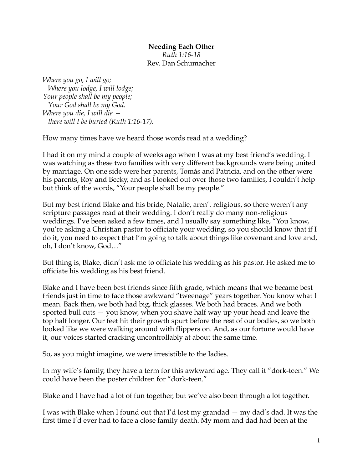## **Needing Each Other**

*Ruth 1:16-18* Rev. Dan Schumacher

*Where you go, I will go; Where you lodge, I will lodge; Your people shall be my people; Your God shall be my God. Where you die, I will die there will I be buried (Ruth 1:16-17).*

How many times have we heard those words read at a wedding?

I had it on my mind a couple of weeks ago when I was at my best friend's wedding. I was watching as these two families with very different backgrounds were being united by marriage. On one side were her parents, Tomás and Patricia, and on the other were his parents, Roy and Becky, and as I looked out over those two families, I couldn't help but think of the words, "Your people shall be my people."

But my best friend Blake and his bride, Natalie, aren't religious, so there weren't any scripture passages read at their wedding. I don't really do many non-religious weddings. I've been asked a few times, and I usually say something like, "You know, you're asking a Christian pastor to officiate your wedding, so you should know that if I do it, you need to expect that I'm going to talk about things like covenant and love and, oh, I don't know, God…"

But thing is, Blake, didn't ask me to officiate his wedding as his pastor. He asked me to officiate his wedding as his best friend.

Blake and I have been best friends since fifth grade, which means that we became best friends just in time to face those awkward "tweenage" years together. You know what I mean. Back then, we both had big, thick glasses. We both had braces. And we both sported bull cuts — you know, when you shave half way up your head and leave the top half longer. Our feet hit their growth spurt before the rest of our bodies, so we both looked like we were walking around with flippers on. And, as our fortune would have it, our voices started cracking uncontrollably at about the same time.

So, as you might imagine, we were irresistible to the ladies.

In my wife's family, they have a term for this awkward age. They call it "dork-teen." We could have been the poster children for "dork-teen."

Blake and I have had a lot of fun together, but we've also been through a lot together.

I was with Blake when I found out that I'd lost my grandad — my dad's dad. It was the first time I'd ever had to face a close family death. My mom and dad had been at the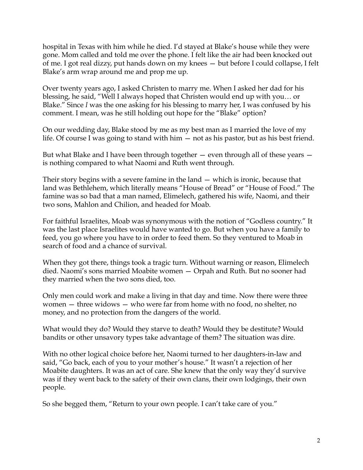hospital in Texas with him while he died. I'd stayed at Blake's house while they were gone. Mom called and told me over the phone. I felt like the air had been knocked out of me. I got real dizzy, put hands down on my knees — but before I could collapse, I felt Blake's arm wrap around me and prop me up.

Over twenty years ago, I asked Christen to marry me. When I asked her dad for his blessing, he said, "Well I always hoped that Christen would end up with you… or Blake." Since *I* was the one asking for his blessing to marry her, I was confused by his comment. I mean, was he still holding out hope for the "Blake" option?

On our wedding day, Blake stood by me as my best man as I married the love of my life. Of course I was going to stand with him — not as his pastor, but as his best friend.

But what Blake and I have been through together  $-$  even through all of these years  $$ is nothing compared to what Naomi and Ruth went through.

Their story begins with a severe famine in the land — which is ironic, because that land was Bethlehem, which literally means "House of Bread" or "House of Food." The famine was so bad that a man named, Elimelech, gathered his wife, Naomi, and their two sons, Mahlon and Chilion, and headed for Moab.

For faithful Israelites, Moab was synonymous with the notion of "Godless country." It was the last place Israelites would have wanted to go. But when you have a family to feed, you go where you have to in order to feed them. So they ventured to Moab in search of food and a chance of survival.

When they got there, things took a tragic turn. Without warning or reason, Elimelech died. Naomi's sons married Moabite women — Orpah and Ruth. But no sooner had they married when the two sons died, too.

Only men could work and make a living in that day and time. Now there were three women — three widows — who were far from home with no food, no shelter, no money, and no protection from the dangers of the world.

What would they do? Would they starve to death? Would they be destitute? Would bandits or other unsavory types take advantage of them? The situation was dire.

With no other logical choice before her, Naomi turned to her daughters-in-law and said, "Go back, each of you to your mother's house." It wasn't a rejection of her Moabite daughters. It was an act of care. She knew that the only way they'd survive was if they went back to the safety of their own clans, their own lodgings, their own people.

So she begged them, "Return to your own people. I can't take care of you."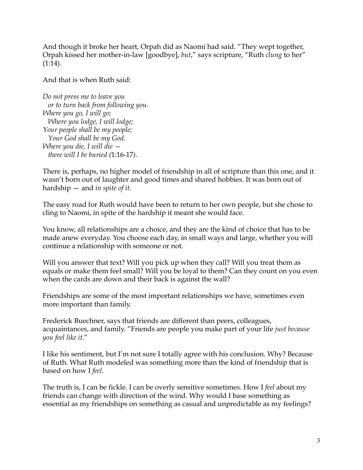And though it broke her heart, Orpah did as Naomi had said. "They wept together, Orpah kissed her mother-in-law [goodbye], *but*," says scripture, "Ruth *clung* to her"  $(1:14)$ .

And that is when Ruth said:

*Do not press me to leave you or to turn back from following you. Where you go, I will go; Where you lodge, I will lodge; Your people shall be my people; Your God shall be my God. Where you die, I will die there will I be buried (*1:16-17*).*

There is, perhaps, no higher model of friendship in all of scripture than this one, and it wasn't born out of laughter and good times and shared hobbies. It was born out of hardship — and *in spite of it*.

The easy road for Ruth would have been to return to her own people, but she chose to cling to Naomi, in spite of the hardship it meant she would face.

You know, all relationships are a choice, and they are the kind of choice that has to be made anew everyday. You choose each day, in small ways and large, whether you will continue a relationship with someone or not.

Will you answer that text? Will you pick up when they call? Will you treat them as equals or make them feel small? Will you be loyal to them? Can they count on you even when the cards are down and their back is against the wall?

Friendships are some of the most important relationships we have, sometimes even more important than family.

Frederick Buechner, says that friends are different than peers, colleagues, acquaintances, and family. "Friends are people you make part of your life *just because you feel like it*."

I like his sentiment, but I'm not sure I totally agree with his conclusion. Why? Because of Ruth. What Ruth modeled was something more than the kind of friendship that is based on how I *feel*.

The truth is, I can be fickle. I can be overly sensitive sometimes. How I *feel* about my friends can change with direction of the wind. Why would I base something as essential as my friendships on something as casual and unpredictable as my feelings?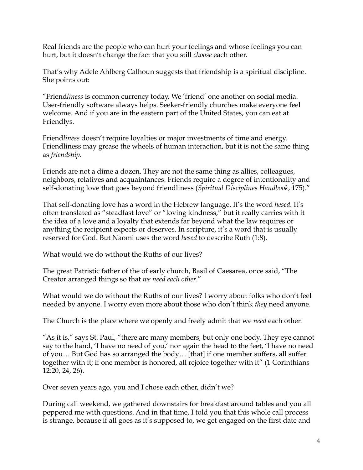Real friends are the people who can hurt your feelings and whose feelings you can hurt, but it doesn't change the fact that you still *choose* each other.

That's why Adele Ahlberg Calhoun suggests that friendship is a spiritual discipline. She points out:

"Friend*liness* is common currency today. We 'friend' one another on social media. User-friendly software always helps. Seeker-friendly churches make everyone feel welcome. And if you are in the eastern part of the United States, you can eat at Friendlys.

Friend*liness* doesn't require loyalties or major investments of time and energy. Friendliness may grease the wheels of human interaction, but it is not the same thing as *friendship*.

Friends are not a dime a dozen. They are not the same thing as allies, colleagues, neighbors, relatives and acquaintances. Friends require a degree of intentionality and self-donating love that goes beyond friendliness (*Spiritual Disciplines Handbook*, 175)."

That self-donating love has a word in the Hebrew language. It's the word *hesed.* It's often translated as "steadfast love" or "loving kindness," but it really carries with it the idea of a love and a loyalty that extends far beyond what the law requires or anything the recipient expects or deserves. In scripture, it's a word that is usually reserved for God. But Naomi uses the word *hesed* to describe Ruth (1:8).

What would we do without the Ruths of our lives?

The great Patristic father of the of early church, Basil of Caesarea, once said, "The Creator arranged things so that *we need each other*."

What would we do without the Ruths of our lives? I worry about folks who don't feel needed by anyone. I worry even more about those who don't think *they* need anyone.

The Church is the place where we openly and freely admit that we *need* each other.

"As it is," says St. Paul, "there are many members, but only one body. They eye cannot say to the hand, 'I have no need of you,' nor again the head to the feet, 'I have no need of you… But God has so arranged the body… [that] if one member suffers, all suffer together with it; if one member is honored, all rejoice together with it" (1 Corinthians 12:20, 24, 26).

Over seven years ago, you and I chose each other, didn't we?

During call weekend, we gathered downstairs for breakfast around tables and you all peppered me with questions. And in that time, I told you that this whole call process is strange, because if all goes as it's supposed to, we get engaged on the first date and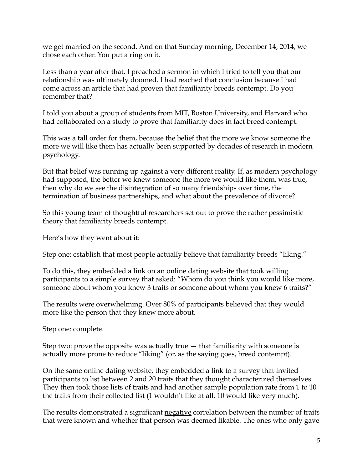we get married on the second. And on that Sunday morning, December 14, 2014, we chose each other. You put a ring on it.

Less than a year after that, I preached a sermon in which I tried to tell you that our relationship was ultimately doomed. I had reached that conclusion because I had come across an article that had proven that familiarity breeds contempt. Do you remember that?

I told you about a group of students from MIT, Boston University, and Harvard who had collaborated on a study to prove that familiarity does in fact breed contempt.

This was a tall order for them, because the belief that the more we know someone the more we will like them has actually been supported by decades of research in modern psychology.

But that belief was running up against a very different reality. If, as modern psychology had supposed, the better we knew someone the more we would like them, was true, then why do we see the disintegration of so many friendships over time, the termination of business partnerships, and what about the prevalence of divorce?

So this young team of thoughtful researchers set out to prove the rather pessimistic theory that familiarity breeds contempt.

Here's how they went about it:

Step one: establish that most people actually believe that familiarity breeds "liking."

To do this, they embedded a link on an online dating website that took willing participants to a simple survey that asked: "Whom do you think you would like more, someone about whom you knew 3 traits or someone about whom you knew 6 traits?"

The results were overwhelming. Over 80% of participants believed that they would more like the person that they knew more about.

Step one: complete.

Step two: prove the opposite was actually true  $-$  that familiarity with someone is actually more prone to reduce "liking" (or, as the saying goes, breed contempt).

On the same online dating website, they embedded a link to a survey that invited participants to list between 2 and 20 traits that they thought characterized themselves. They then took those lists of traits and had another sample population rate from 1 to 10 the traits from their collected list (1 wouldn't like at all, 10 would like very much).

The results demonstrated a significant negative correlation between the number of traits that were known and whether that person was deemed likable. The ones who only gave